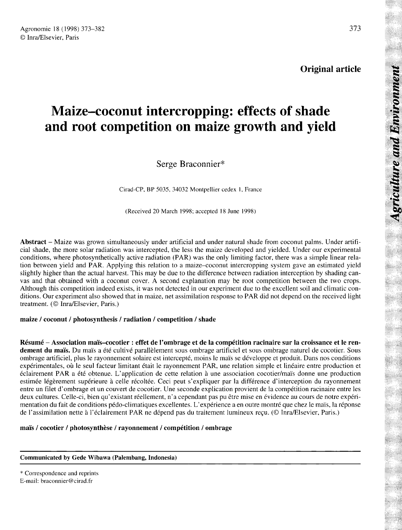# Maize-coconut intercropping: effects of shade and root competition on maize growth and yield

Serge Braconnier

Cirad-CP, BP 5035, 34032 Montpellier cedex 1, France

(Received 20 March 1998; accepted 18 June 1998)

Abstract – Maize was grown simultaneously under artificial and under natural shade from coconut palms. Under artificial shade, the more solar radiation was intercepted, the less the maize developed and yielded. Under our experimental conditions, where photosynthetically active radiation (PAR) was the only limiting factor, there was a simple linear relation between yield and PAR. Applying this relation to a maize-coconut intercropping system gave an estimated yield slightly higher than the actual harvest. This may be due to the difference between radiation interception by shading canvas and that obtained with a coconut cover. A second explanation may be root competition between the two crops. Although this competition indeed exists, it was not detected in our experiment due to the excellent soil and climatic conditions. Our experiment also showed that in maize, net assimilation response to PAR did not depend on the received light treatment. (© Inra/Elsevier, Paris.)

## maize / coconut / photosynthesis / radiation / competition / shade

Résumé - Association maïs-cocotier : effet de l'ombrage et de la compétition racinaire sur la croissance et le rendement du maïs. Du maïs a été cultivé parallèlement sous ombrage artificiel et sous ombrage naturel de cocotier. Sous ombrage artificiel, plus le rayonnement solaire est intercepté, moins le maïs se développe et produit. Dans nos conditions expérimentales, où le seul facteur limitant était le rayonnement PAR, une relation simple et linéaire entre production et éclairement PAR a été obtenue. L'application de cette relation à une association cocotier/maïs donne une production estimée légèrement supérieure à celle récoltée. Ceci peut s'expliquer par la différence d'interception du rayonnement entre un filet d'ombrage et un couvert de cocotier. Une seconde explication provient de la compétition racinaire entre les deux cultures. Celle-ci, bien qu'existant réellement, n'a cependant pas pu être mise en évidence au cours de notre expérimentation du fait de conditions pédo-climatiques excellentes. L'expérience a en outre montré que chez le maïs, la réponse de l'assimilation nette à l'éclairement PAR ne dépend pas du traitement lumineux reçu. (© Inra/Elsevier, Paris.)

## maïs / cocotier / photosynthèse / rayonnement / compétition / ombrage

#### Communicated by Gede Wibawa (Palembang, Indonesia)

\* Correspondence and reprints

E-mail: braconnier@cirad.fr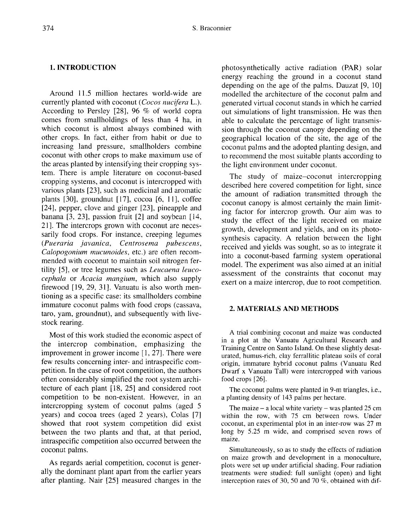### 1. INTRODUCTION

Around 11.5 million hectares world-wide are currently planted with coconut (Cocos nucifera L.). According to Persley [28], 96 % of world copra comes from smallholdings of less than 4 ha, in which coconut is almost always combined with other crops. In fact, either from habit or due to increasing land pressure, smallholders combine coconut with other crops to make maximum use of the areas planted by intensifying their cropping system. There is ample literature on coconut-based cropping systems, and coconut is intercropped with various plants [23], such as medicinal and aromatic plants  $[30]$ , groundnut  $[17]$ , cocoa  $[6, 11]$ , coffee [24], pepper, clove and ginger [23], pineapple and banana [3, 23], passion fruit [2] and soybean [14, 21]. The intercrops grown with coconut are necessarily food crops. For instance, creeping legumes (Pueraria javanica, Centrosema pubescens, Calopogonium mucunoides, etc.) are often recommended with coconut to maintain soil nitrogen fertility [5], or tree legumes such as Leucaena leucocephala or Acacia mangium, which also supply firewood [19, 29, 31]. Vanuatu is also worth mentioning as a specific case: its smallholders combine immature coconut palms with food crops (cassava, taro, yam, groundnut), and subsequently with livestock rearing.

Most of this work studied the economic aspect of the intercrop combination, emphasizing the improvement in grower income [1, 27]. There were few results concerning inter- and intraspecific competition. In the case of root competition, the authors often considerably simplified the root system architecture of each plant [18, 25] and considered root competition to be non-existent. However, in an intercropping system of coconut palms (aged 5 years) and cocoa trees (aged 2 years), Colas [7] showed that root system competition did exist between the two plants and that, at that period, intraspecific competition also occurred between the coconut palms.

As regards aerial competition, coconut is generally the dominant plant apart from the earlier years after planting. Nair [25] measured changes in the photosynthetically active radiation (PAR) solar energy reaching the ground in a coconut stand depending on the age of the palms. Dauzat [9, 10] modelled the architecture of the coconut palm and generated virtual coconut stands in which he carried out simulations of light transmission. He was then able to calculate the percentage of light transmission through the coconut canopy depending on the geographical location of the site, the age of the coconut palms and the adopted planting design, and to recommend the most suitable plants according to the light environment under coconut.

The study of maize-coconut intercropping described here covered competition for light, since the amount of radiation transmitted through the coconut canopy is almost certainly the main limiting factor for intercrop growth. Our aim was to study the effect of the light received on maize growth, development and yields, and on its photosynthesis capacity. A relation between the light received and yields was sought, so as to integrate it into a coconut-based farming system operational model. The experiment was also aimed at an initial assessment of the constraints that coconut may exert on a maize intercrop, due to root competition.

## 2. MATERIALS AND METHODS

A trial combining coconut and maize was conducted in a plot at the Vanuatu Agricultural Research and Training Centre on Santo Island. On these slightly desaturated, humus-rich, clay ferrallitic plateau soils of coral origin, immature hybrid coconut palms (Vanuatu Red Dwarf x Vanuatu Tall) were intercropped with various food crops [26].

The coconut palms were planted in 9-m triangles, i.e., a planting density of 143 palms per hectare.

The maize  $-$  a local white variety  $-$  was planted 25 cm within the row, with 75 cm between rows. Under coconut, an experimental plot in an inter-row was 27 m long by 5.25 m wide, and comprised seven rows of maize.

Simultaneously, so as to study the effects of radiation on maize growth and development in a monoculture, plots were set up under artificial shading. Four radiation treatments were studied: full sunlight (open) and light interception rates of 30, 50 and 70 %, obtained with dif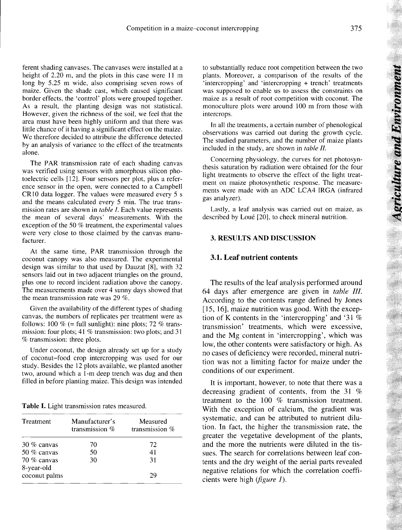ferent shading canvases. The canvases were installed at a height of 2.20 m, and the plots in this case were 11 m long by 5.25 m wide, also comprising seven rows of maize. Given the shade cast, which caused significant border effects, the 'control' plots were grouped together. As a result, the planting design was not statistical. However, given the richness of the soil, we feel that the area must have been highly uniform and that there was little chance of it having a significant effect on the maize. We therefore decided to attribute the difference detected by an analysis of variance to the effect of the treatments alone.

The PAR transmission rate of each shading canvas was verified using sensors with amorphous silicon photoelectric cells [12]. Four sensors per plot, plus a reference sensor in the open, were connected to a Campbell CR10 data logger. The values were measured every 5 s and the means calculated every 5 min. The true transmission rates are shown in *table I*. Each value represents the mean of several days' measurements. With the exception of the 50 % treatment, the experimental values were very close to those claimed by the canvas manufacturer.

At the same time, PAR transmission through the coconut canopy was also measured. The experimental design was similar to that used by Dauzat [8], with 32 sensors laid out in two adjacent triangles on the ground, plus one to record incident radiation above the canopy. The measurements made over 4 sunny days showed that the mean transmission rate was 29 %.

Given the availability of the different types of shading canvas, the numbers of replicates per treatment were as follows: 100 % (= full sunlight): nine plots; 72 % transmission: four plots; 41 % transmission: two plots; and 31 % transmission: three plots.

Under coconut, the design already set up for a study of coconut-food crop intercropping was used for our study. Besides the 12 plots available, we planted another two, around which a 1-m deep trench was dug and then filled in before planting maize. This design was intended

Table I. Light transmission rates measured.

| Treatment                 | Manufacturer's<br>transmission % | Measured<br>transmission $%$ |
|---------------------------|----------------------------------|------------------------------|
| $30\%$ canvas             | 70                               | 72                           |
| 50 $%$ canvas             | 50                               | 41                           |
| 70 % canvas<br>8-year-old | 30                               | 31                           |
| coconut palms             |                                  | 29                           |

to substantially reduce root competition between the two plants. Moreover, a comparison of the results of the 'intercropping' and 'intercropping + trench' treatments was supposed to enable us to assess the constraints on maize as a result of root competition with coconut. The monoculture plots were around 100 m from those with intercrops.

In all the treatments, a certain number of phenological observations was carried out during the growth cycle. The studied parameters, and the number of maize plants included in the study, are shown in table II.

Concerning physiology, the curves for net photosynthesis saturation by radiation were obtained for the four light treatments to observe the effect of the light treatment on maize photosynthetic response. The measurements were made with an ADC LCA4 IRGA (infrared gas analyzer).

Lastly, a leaf analysis was carried out on maize, as described by Loué [20], to check mineral nutrition.

#### 3. RESULTS AND DISCUSSION

#### 3.1. Leaf nutrient contents

The results of the leaf analysis performed around 64 days after emergence are given in table III. According to the contents range defined by Jones [15, 16], maize nutrition was good. With the exception of K contents in the 'intercropping' and '31 % transmission' treatments, which were excessive, and the Mg content in 'intercropping', which was low, the other contents were satisfactory or high. As no cases of deficiency were recorded, mineral nutrition was not a limiting factor for maize under the conditions of our experiment.

It is important, however, to note that there was a decreasing gradient of contents, from the 31 % treatment to the 100 % transmission treatment. With the exception of calcium, the gradient was systematic, and can be attributed to nutrient dilution. In fact, the higher the transmission rate, the greater the vegetative development of the plants, and the more the nutrients were diluted in the tissues. The search for correlations between leaf contents and the dry weight of the aerial parts revealed negative relations for which the correlation coefficients were high  $(figure 1)$ .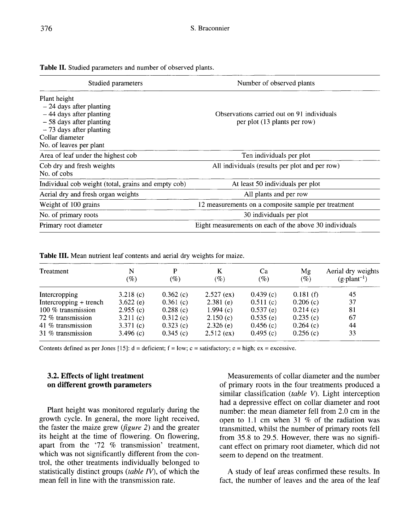Table II. Studied parameters and number of observed plants.

| Studied parameters                                  | Number of observed plants                              |
|-----------------------------------------------------|--------------------------------------------------------|
| Plant height                                        |                                                        |
| $-24$ days after planting                           |                                                        |
| $-44$ days after planting                           | Observations carried out on 91 individuals             |
| $-58$ days after planting                           | per plot (13 plants per row)                           |
| $-73$ days after planting                           |                                                        |
| Collar diameter                                     |                                                        |
| No. of leaves per plant                             |                                                        |
| Area of leaf under the highest cob                  | Ten individuals per plot                               |
| Cob dry and fresh weights                           | All individuals (results per plot and per row)         |
| No. of cobs                                         |                                                        |
| Individual cob weight (total, grains and empty cob) | At least 50 individuals per plot                       |
| Aerial dry and fresh organ weights                  | All plants and per row                                 |
| Weight of 100 grains                                | 12 measurements on a composite sample per treatment    |
| No. of primary roots                                | 30 individuals per plot                                |
| Primary root diameter                               | Eight measurements on each of the above 30 individuals |
|                                                     |                                                        |

Table III. Mean nutrient leaf contents and aerial dry weights for maize.

| Treatment              | N<br>(%)    | P<br>$(\%)$ | K<br>$(\%)$  | Ca<br>(%) | Mg<br>$(\%)$ | Aerial dry weights<br>$(g\cdot plant^{-1})$ |
|------------------------|-------------|-------------|--------------|-----------|--------------|---------------------------------------------|
| Intercropping          | 3.218(c)    | 0.362(c)    | $2.527$ (ex) | 0.439(c)  | 0.181(f)     | 45                                          |
| Intercropping + trench | $3.622$ (e) | 0.361(c)    | $2.381$ (e)  | 0.511(c)  | 0.206(c)     | 37                                          |
| 100 % transmission     | 2.955(c)    | 0.288(c)    | 1.994 $(c)$  | 0.537(e)  | 0.214(c)     | 81                                          |
| 72 % transmission      | 3.211(c)    | 0.312(c)    | 2.150(c)     | 0.535(e)  | 0.235(c)     | 67                                          |
| 41 % transmission      | 3.371 $(c)$ | 0.323(c)    | 2.326(e)     | 0.456(c)  | 0.264(c)     | 44                                          |
| 31 % transmission      | 3.496 $(c)$ | 0.345(c)    | $2.512$ (ex) | 0.495(c)  | 0.256(c)     | 33                                          |

Contents defined as per Jones [15]:  $d = \text{deficient}$ ;  $f = \text{low}$ ;  $c = \text{satisfactory}$ ;  $e = \text{high}$ ;  $ex = \text{excessive}$ .

## 3.2. Effects of light treatment on different growth parameters

Plant height was monitored regularly during the growth cycle. In general, the more light received, the faster the maize grew (figure 2) and the greater its height at the time of flowering. On flowering, apart from the '72 % transmission' treatment, which was not significantly different from the control, the other treatments individually belonged to statistically distinct groups (table  $IV$ ), of which the mean fell in line with the transmission rate.

Measurements of collar diameter and the number of primary roots in the four treatments produced a similar classification (table V). Light interception had a depressive effect on collar diameter and root number: the mean diameter fell from 2.0 cm in the open to 1.1 cm when 31 % of the radiation was transmitted, whilst the number of primary roots fell from 35.8 to 29.5. However, there was no significant effect on primary root diameter, which did not seem to depend on the treatment.

A study of leaf areas confirmed these results. In fact, the number of leaves and the area of the leaf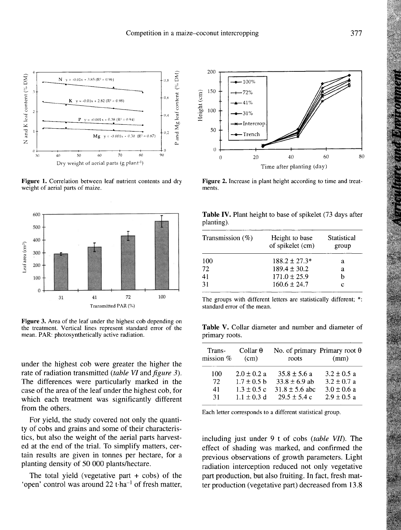

Figure 1. Correlation between leaf nutrient contents and dry weight of aerial parts of maize.



Figure 3. Area of the leaf under the highest cob depending on the treatment. Vertical lines represent standard error of the mean. PAR: photosynthetically active radiation.

under the highest cob were greater the higher the rate of radiation transmitted (table VI and figure 3). The differences were particularly marked in the case of the area of the leaf under the highest cob, for which each treatment was significantly different from the others.

For yield, the study covered not only the quantity of cobs and grains and some of their characteristics, but also the weight of the aerial parts harvested at the end of the trial. To simplify matters, certain results are given in tonnes per hectare, for a planting density of 50 000 plants/hectare.

The total yield (vegetative part  $+$  cobs) of the 'open' control was around  $22$  t·ha<sup>-1</sup> of fresh matter,



Figure 2. Increase in plant height according to time and treatments.

| Table IV. Plant height to base of spikelet (73 days after |  |  |  |  |  |
|-----------------------------------------------------------|--|--|--|--|--|
| planting).                                                |  |  |  |  |  |

| Transmission $(\%)$ | Height to base<br>of spikelet (cm) | Statistical<br>group |
|---------------------|------------------------------------|----------------------|
| 100                 | $188.2 \pm 27.3*$                  | а                    |
| 72                  | $189.4 \pm 30.2$                   | а                    |
| 41                  | $171.0 \pm 25.9$                   |                      |
| -31                 | $160.6 \pm 24.7$                   | с                    |

The groups with different letters are statistically different; \*: standard error of the mean.

Table V. Collar diameter and number and diameter of primary roots.

| Trans-<br>mission % | Collar $\theta$<br>(cm) | No. of primary Primary root $\theta$<br>roots | (mm)            |
|---------------------|-------------------------|-----------------------------------------------|-----------------|
| 100                 | $2.0 \pm 0.2 a$         | $35.8 + 5.6 a$                                | $3.2 + 0.5 a$   |
| 72                  | $1.7 \pm 0.5$ b         | $33.8 \pm 6.9$ ab                             | $3.2 \pm 0.7$ a |
| 41                  | $1.3 \pm 0.5$ c         | $31.8 \pm 5.6$ abc                            | $3.0 \pm 0.6$ a |
| 31                  | $1.1 \pm 0.3$ d         | $29.5 \pm 5.4$ c                              | $2.9 \pm 0.5 a$ |

Each letter corresponds to a different statistical group.

including just under 9 t of cobs (table VII). The effect of shading was marked, and confirmed the previous observations of growth parameters. Light radiation interception reduced not only vegetative part production, but also fruiting. In fact, fresh matter production (vegetative part) decreased from 13.8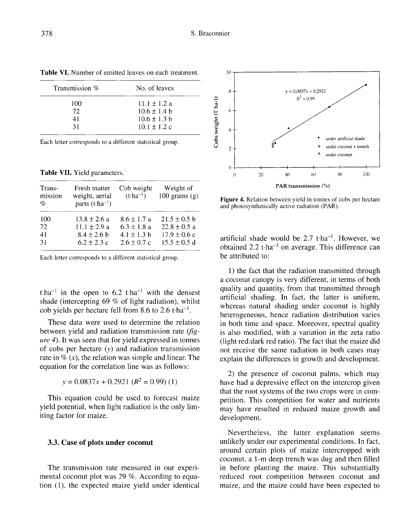| Transmission % | No. of leaves    |
|----------------|------------------|
| 100            | $11.1 \pm 1.2$ a |
| 72             | $10.6 + 1.4 h$   |
| 41             | $10.6 \pm 1.3$ b |
| 31             | $10.1 \pm 1.2$ c |

Table VI. Number of emitted leaves on each treatment.

Each letter corresponds to a different statistical group.

Table VII. Yield parameters.

| Trans-<br>mission<br>% | Fresh matter<br>weight, aerial<br>parts $(t \cdot ha^{-1})$ | Cob weight<br>$(t-1)$ | Weight of<br>100 grains $(g)$ |
|------------------------|-------------------------------------------------------------|-----------------------|-------------------------------|
| 100                    | $13.8 + 2.6 a$                                              | $8.6 \pm 1.7$ a       | $21.5 + 0.5$ b                |
| 72                     | $11.1 + 2.9 a$                                              | $6.3 + 1.8a$          | $22.8 \pm 0.5$ a              |
| 41                     | $8.4 \pm 2.6$ b                                             | 4.1 $\pm$ 1.3 b       | $17.9 \pm 0.6$ c              |
| 31                     | $6.2 \pm 2.3$ c                                             | $2.6 \pm 0.7$ c       | $15.5 \pm 0.5$ d              |

Each letter corresponds to a different statistical group.

t·ha<sup>-1</sup> in the open to 6.2 t·ha<sup>-1</sup> with the densest shade (intercepting 69 % of light radiation), whilst t·ha<sup>-1</sup> in the open to 6.2 t·ha<sup>-1</sup> with the dens<br>shade (intercepting 69 % of light radiation), wh<br>cob yields per hectare fell from 8.6 to 2.6 t·ha<sup>-1</sup>.

These data were used to determine the relation between yield and radiation transmission rate  $(f \circ f)$ ure 4). It was seen that for yield expressed in tonnes of cobs per hectare (y) and radiation transmission rate in  $\mathcal{R}(x)$ , the relation was simple and linear. The equation for the correlation line was as follows:

$$
y = 0.0837x + 0.2921 (R^2 = 0.99) (1)
$$

This equation could be used to forecast maize yield potential, when light radiation is the only limiting factor for maize.

#### 3.3. Case of plots under coconut

The transmission rate measured in our experimental coconut plot was 29 %. According to equation (1), the expected maize yield under identical



Figure 4. Relation between yield in tonnes of cobs per hectare and photosynthetically active radiation (PAR).

artificial shade would be  $2.7$  t·ha<sup>-1</sup>. However, we obtained  $2.2$  t·ha<sup>-1</sup> on average. This difference can be attributed to:

1) the fact that the radiation transmitted through a coconut canopy is very different, in terms of both quality and quantity, from that transmitted through artificial shading. In fact, the latter is uniform, whereas natural shading under coconut is highly heterogeneous, hence radiation distribution varies in both time and space. Moreover, spectral quality is also modified, with a variation in the zeta ratio (light red:dark red ratio). The fact that the maize did not receive the same radiation in both cases may explain the differences in growth and development.

2) the presence of coconut palms, which may have had a depressive effect on the intercrop given that the root systems of the two crops were in competition. This competition for water and nutrients may have resulted in reduced maize growth and development.

Nevertheless, the latter explanation seems unlikely under our experimental conditions. In fact, around certain plots of maize intercropped with coconut, a 1-m deep trench was dug and then filled in before planting the maize. This substantially reduced root competition between coconut and maize, and the maize could have been expected to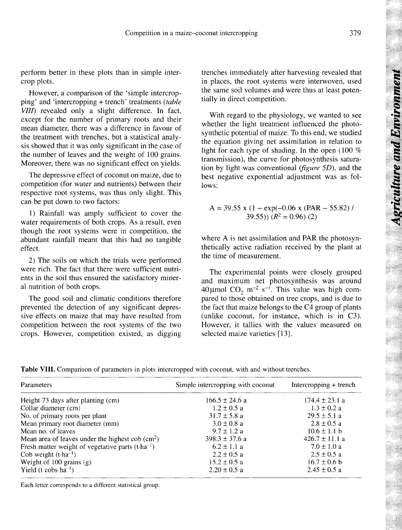379

perform better in these plots than in simple intercrop plots.

However, a comparison of the 'simple intercropping' and 'intercropping + trench' treatments (table VIII) revealed only a slight difference. In fact, except for the number of primary roots and their mean diameter, there was a difference in favour of the treatment with trenches, but a statistical analysis showed that it was only significant in the case of the number of leaves and the weight of 100 grains. Moreover, there was no significant effect on yields.

The depressive effect of coconut on maize, due to competition (for water and nutrients) between their respective root systems, was thus only slight. This can be put down to two factors:

1) Rainfall was amply sufficient to cover the water requirements of both crops. As a result, even though the root systems were in competition, the abundant rainfall meant that this had no tangible effect.

2) The soils on which the trials were performed were rich. The fact that there were sufficient nutrients in the soil thus ensured the satisfactory mineral nutrition of both crops.

The good soil and climatic conditions therefore prevented the detection of any significant depressive effects on maize that may have resulted from competition between the root systems of the two crops. However, competition existed, as digging trenches immediately after harvesting revealed that in places, the root systems were interwoven, used the same soil volumes and were thus at least potentially in direct competition.

With regard to the physiology, we wanted to see whether the light treatment influenced the photosynthetic potential of maize. To this end, we studied the equation giving net assimilation in relation to light for each type of shading. In the open (100  $%$ transmission), the curve for photosynthesis saturation by light was conventional ( $figure 5D$ ), and the best negative exponential adjustment was as follows:

where A is net assimilation and PAR the photosynthetically active radiation received by the plant at the time of measurement.

The experimental points were closely grouped and maximum net photosynthesis was around 40 µmol CO<sub>2</sub> m<sup>-2</sup> s<sup>-1</sup>. This value was high compared to those obtained on tree crops, and is due to the fact that maize belongs to the C4 group of plants (unlike coconut, for instance, which is in C3). However, it tallies with the values measured on selected maize varieties [13].

| <b>Table VIII.</b> Comparison of parameters in plots intercropped with coconut, with and without trenches. |  |  |  |  |  |  |  |  |  |  |  |  |
|------------------------------------------------------------------------------------------------------------|--|--|--|--|--|--|--|--|--|--|--|--|
|------------------------------------------------------------------------------------------------------------|--|--|--|--|--|--|--|--|--|--|--|--|

| Parameters                                                  | Simple intercropping with coconut | Intercropping + trench |
|-------------------------------------------------------------|-----------------------------------|------------------------|
| Height 73 days after planting (cm)                          | $166.5 \pm 24.6$ a                | $174.4 \pm 23.1$ a     |
| Collar diameter (cm)                                        | $1.2 \pm 0.5$ a                   | $1.3 \pm 0.2$ a        |
| No. of primary roots per plant                              | $31.7 \pm 5.8$ a                  | $29.5 \pm 5.1$ a       |
| Mean primary root diameter (mm)                             | $3.0 \pm 0.8$ a                   | $2.8 \pm 0.5$ a        |
| Mean no. of leaves                                          | $9.7 \pm 1.2 a$                   | $10.6 \pm 1.1$ b       |
| Mean area of leaves under the highest cob $(cm2)$           | $398.3 \pm 37.6$ a                | $426.7 + 11.1 a$       |
| Fresh matter weight of vegetative parts $(t \cdot ha^{-1})$ | $6.2 \pm 1.1$ a                   | $7.0 \pm 1.0 a$        |
| Cob weight $(t \cdot ha^{-1})$                              | $2.2 \pm 0.5$ a                   | $2.5 \pm 0.5$ a        |
| Weight of $100$ grains (g)                                  | $15.2 \pm 0.5$ a                  | $16.7 \pm 0.6$ b       |
| Yield (t cobs $ha^{-1}$ )                                   | $2.20 \pm 0.5$ a                  | $2.45 \pm 0.5$ a       |

Each letter corresponds to a different statistical group.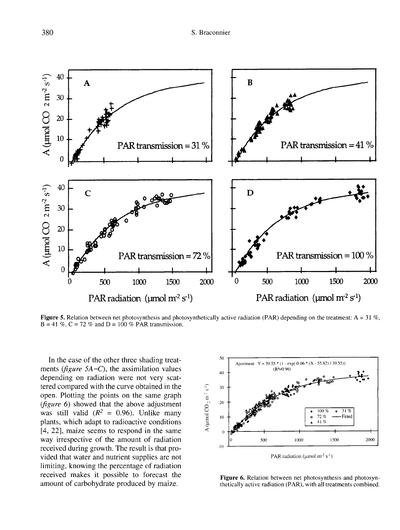

Figure 5. Relation between net photosynthesis and photosynthetically active radiation (PAR) depending on the treatment: A = 31 %,  $B = 41 \%$ ,  $C = 72 \%$  and  $D = 100 \%$  PAR transmission.

In the case of the other three shading treatments (*figure 5A–C*), the assimilation values depending on radiation were not very scattered compared with the curve obtained in the open. Plotting the points on the same graph (figure 6) showed that the above adjustment was still valid  $(R^2 = 0.96)$ . Unlike many plants, which adapt to radioactive conditions [4, 22], maize seems to respond in the same way irrespective of the amount of radiation received during growth. The result is that provided that water and nutrient supplies are not limiting, knowing the percentage of radiation received makes it possible to forecast the amount of carbohydrate produced by maize.



Figure 6. Relation between net photosynthesis and photosynthetically active radiation (PAR), with all treatments combined.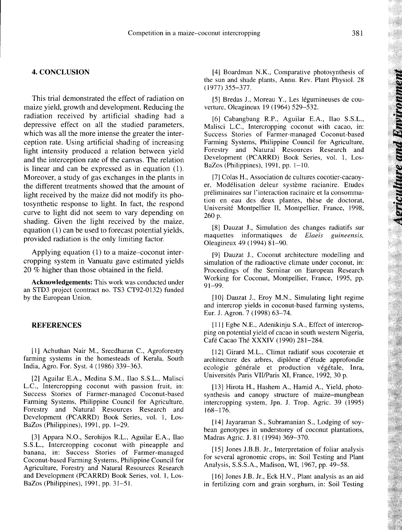#### 4. CONCLUSION

This trial demonstrated the effect of radiation on maize yield, growth and development. Reducing the radiation received by artificial shading had a depressive effect on all the studied parameters, which was all the more intense the greater the interception rate. Using artificial shading of increasing light intensity produced a relation between yield and the interception rate of the canvas. The relation is linear and can be expressed as in equation (1). Moreover, a study of gas exchanges in the plants in the different treatments showed that the amount of light received by the maize did not modify its photosynthetic response to light. In fact, the respond curve to light did not seem to vary depending on shading. Given the light received by the maize, equation (1) can be used to forecast potential yields, provided radiation is the only limiting factor.

Applying equation (1) to a maize-coconut intercropping system in Vanuatu gave estimated yields 20 % higher than those obtained in the field.

Acknowledgements: This work was conducted under an STD3 project (contract no. TS3 CT92-0132) funded by the European Union.

#### REFERENCES

[1] Achuthan Nair M., Sreedharan C., Agroforestry farming systems in the homesteads of Kerala, South India, Agro. For. Syst. 4 (1986) 339-363.

[2] Aguilar E.A., Medina S.M., Ilao S.S.L., Malisci L.C., Intercropping coconut with passion fruit, in: Success Stories of Farmer-managed Coconut-based Farming Systems, Philippine Council for Agriculture, Forestry and Natural Resources Research and Development (PCARRD) Book Series, vol. 1, Los-BaZos (Philippines), 1991, pp. 1-29.

[3] Appara N.O., Serohijos R.L., Aguilar E.A., Ilao S.S.L., Intercropping coconut with pineapple and banana, in: Success Stories of Farmer-managed Coconut-based Farming Systems, Philippine Council for Agriculture, Forestry and Natural Resources Research and Development (PCARRD) Book Series, vol. 1, Los-BaZos (Philippines), 1991, pp. 31-51.

[4] Boardman N.K., Comparative photosynthesis of the sun and shade plants, Annu. Rev. Plant Physiol. 28 (1977) 355-377.

[5] Bredas J., Moreau Y., Les légumineuses de couverture, Oleagineux 19 (1964) 529-532.

[6] Cabangbang R.P., Aguilar E.A., Ilao S.S.L., Malisci L.C., Intercropping coconut with cacao, in: Success Stories of Farmer-managed Coconut-based Farming Systems, Philippine Council for Agriculture, Forestry and Natural Resources Research and Development (PCARRD) Book Series, vol. 1, Los-BaZos (Philippines), 1991, pp. 1-10.

[7] Colas H., Association de cultures cocotier-cacaoy er, Modélisation deleur système racianire. Etudes préliminaires sur l'interaction racinaire et la consommation en eau des deux plantes, thèse de doctorat, Université Montpellier II, Montpellier, France, 1998, 260 p.

[8] Dauzat J., Simulation des changes radiatifs sur aquettes informatiques de *Elaeis guineensis*, maquettes informatiques de Elaeis Oleagineux 49 (1994) 81-90.

[9] Dauzat J., Coconut architecture modelling and simulation of the radioactive climate under coconut, in: Proceedings of the Seminar on European Research Working for Coconut, Montpellier, France, 1995, pp. 91-99.

[10] Dauzat J., Eroy M.N., Simulating light regime and intercrop yields in coconut-based farming systems, Eur. J. Agron. 7 (1998) 63-74.

[11] Egbe N.E., Adenikinju S.A., Effect of intercropping on potential yield of cacao in south western Nigeria, Café Cacao Thé XXXIV (1990) 281-284.

[12] Girard M.L., Climat radiatif sous cocoteraie et architecture des arbres, diplôme d'étude approfondie ecologie générale et production végétale, Inra, Universités Paris VII/Paris XI, France, 1992, 30 p.

[13] Hirota H., Hashem A., Hamid A., Yield, photosynthesis and canopy structure of maize-mungbean intercropping system, Jpn. J. Trop. Agric. 39 (1995) 168-176.

[14] Jayaraman S., Subramanian S., Lodging of soybean genotypes in understorey of coconut plantations, Madras Agric. J. 81 (1994) 369-370.

[15] Jones J.B.B. Jr., Interpretation of foliar analysis for several agronomic crops, in: Soil Testing and Plant Analysis, S.S.S.A., Madison, WI, 1967, pp. 49-58.

[16] Jones J.B. Jr., Eck H.V., Plant analysis as an aid in fertilizing corn and grain sorghum, in: Soil Testing **Agriculture and Businement**